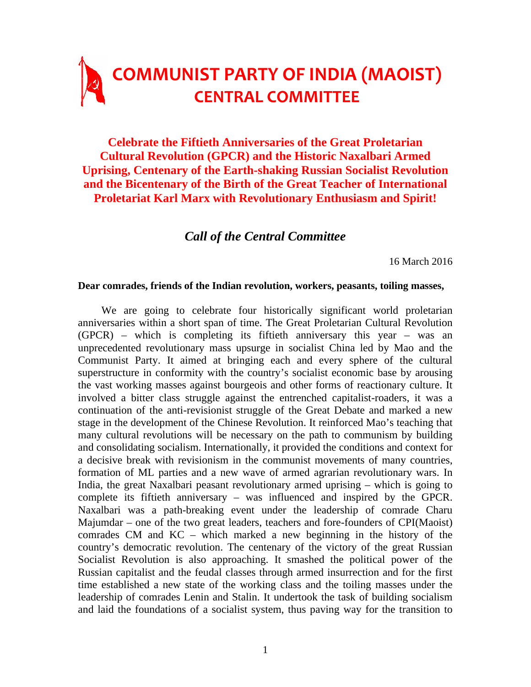# **COMMUNIST PARTY OF INDIA (MAOIST) CENTRAL COMMITTEE**

**Celebrate the Fiftieth Anniversaries of the Great Proletarian Cultural Revolution (GPCR) and the Historic Naxalbari Armed Uprising, Centenary of the Earth-shaking Russian Socialist Revolution and the Bicentenary of the Birth of the Great Teacher of International Proletariat Karl Marx with Revolutionary Enthusiasm and Spirit!** 

# *Call of the Central Committee*

16 March 2016

#### **Dear comrades, friends of the Indian revolution, workers, peasants, toiling masses,**

We are going to celebrate four historically significant world proletarian anniversaries within a short span of time. The Great Proletarian Cultural Revolution (GPCR) – which is completing its fiftieth anniversary this year – was an unprecedented revolutionary mass upsurge in socialist China led by Mao and the Communist Party. It aimed at bringing each and every sphere of the cultural superstructure in conformity with the country's socialist economic base by arousing the vast working masses against bourgeois and other forms of reactionary culture. It involved a bitter class struggle against the entrenched capitalist-roaders, it was a continuation of the anti-revisionist struggle of the Great Debate and marked a new stage in the development of the Chinese Revolution. It reinforced Mao's teaching that many cultural revolutions will be necessary on the path to communism by building and consolidating socialism. Internationally, it provided the conditions and context for a decisive break with revisionism in the communist movements of many countries, formation of ML parties and a new wave of armed agrarian revolutionary wars. In India, the great Naxalbari peasant revolutionary armed uprising – which is going to complete its fiftieth anniversary – was influenced and inspired by the GPCR. Naxalbari was a path-breaking event under the leadership of comrade Charu Majumdar – one of the two great leaders, teachers and fore-founders of CPI(Maoist) comrades CM and KC – which marked a new beginning in the history of the country's democratic revolution. The centenary of the victory of the great Russian Socialist Revolution is also approaching. It smashed the political power of the Russian capitalist and the feudal classes through armed insurrection and for the first time established a new state of the working class and the toiling masses under the leadership of comrades Lenin and Stalin. It undertook the task of building socialism and laid the foundations of a socialist system, thus paving way for the transition to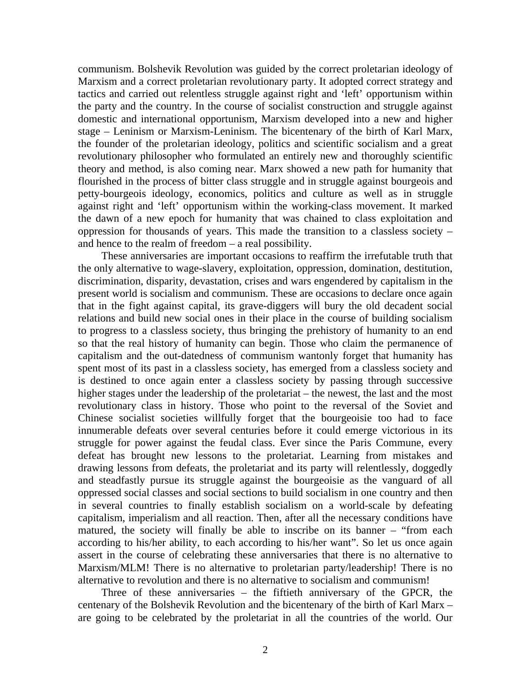communism. Bolshevik Revolution was guided by the correct proletarian ideology of Marxism and a correct proletarian revolutionary party. It adopted correct strategy and tactics and carried out relentless struggle against right and 'left' opportunism within the party and the country. In the course of socialist construction and struggle against domestic and international opportunism, Marxism developed into a new and higher stage – Leninism or Marxism-Leninism. The bicentenary of the birth of Karl Marx, the founder of the proletarian ideology, politics and scientific socialism and a great revolutionary philosopher who formulated an entirely new and thoroughly scientific theory and method, is also coming near. Marx showed a new path for humanity that flourished in the process of bitter class struggle and in struggle against bourgeois and petty-bourgeois ideology, economics, politics and culture as well as in struggle against right and 'left' opportunism within the working-class movement. It marked the dawn of a new epoch for humanity that was chained to class exploitation and oppression for thousands of years. This made the transition to a classless society – and hence to the realm of freedom – a real possibility.

These anniversaries are important occasions to reaffirm the irrefutable truth that the only alternative to wage-slavery, exploitation, oppression, domination, destitution, discrimination, disparity, devastation, crises and wars engendered by capitalism in the present world is socialism and communism. These are occasions to declare once again that in the fight against capital, its grave-diggers will bury the old decadent social relations and build new social ones in their place in the course of building socialism to progress to a classless society, thus bringing the prehistory of humanity to an end so that the real history of humanity can begin. Those who claim the permanence of capitalism and the out-datedness of communism wantonly forget that humanity has spent most of its past in a classless society, has emerged from a classless society and is destined to once again enter a classless society by passing through successive higher stages under the leadership of the proletariat – the newest, the last and the most revolutionary class in history. Those who point to the reversal of the Soviet and Chinese socialist societies willfully forget that the bourgeoisie too had to face innumerable defeats over several centuries before it could emerge victorious in its struggle for power against the feudal class. Ever since the Paris Commune, every defeat has brought new lessons to the proletariat. Learning from mistakes and drawing lessons from defeats, the proletariat and its party will relentlessly, doggedly and steadfastly pursue its struggle against the bourgeoisie as the vanguard of all oppressed social classes and social sections to build socialism in one country and then in several countries to finally establish socialism on a world-scale by defeating capitalism, imperialism and all reaction. Then, after all the necessary conditions have matured, the society will finally be able to inscribe on its banner – "from each according to his/her ability, to each according to his/her want". So let us once again assert in the course of celebrating these anniversaries that there is no alternative to Marxism/MLM! There is no alternative to proletarian party/leadership! There is no alternative to revolution and there is no alternative to socialism and communism!

Three of these anniversaries – the fiftieth anniversary of the GPCR, the centenary of the Bolshevik Revolution and the bicentenary of the birth of Karl Marx – are going to be celebrated by the proletariat in all the countries of the world. Our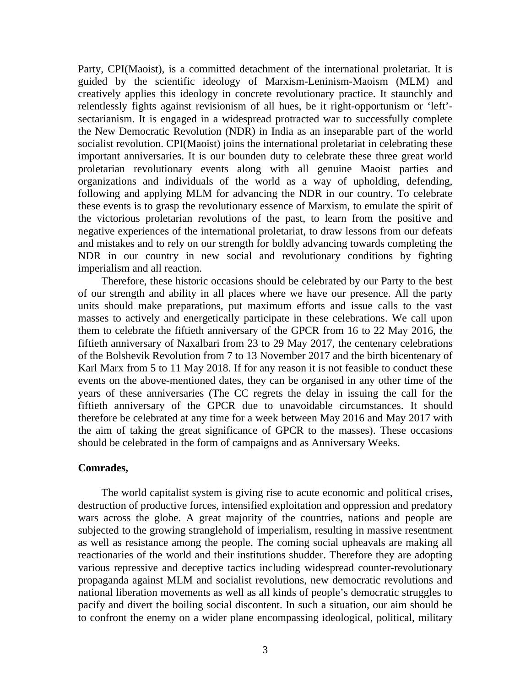Party, CPI(Maoist), is a committed detachment of the international proletariat. It is guided by the scientific ideology of Marxism-Leninism-Maoism (MLM) and creatively applies this ideology in concrete revolutionary practice. It staunchly and relentlessly fights against revisionism of all hues, be it right-opportunism or 'left' sectarianism. It is engaged in a widespread protracted war to successfully complete the New Democratic Revolution (NDR) in India as an inseparable part of the world socialist revolution. CPI(Maoist) joins the international proletariat in celebrating these important anniversaries. It is our bounden duty to celebrate these three great world proletarian revolutionary events along with all genuine Maoist parties and organizations and individuals of the world as a way of upholding, defending, following and applying MLM for advancing the NDR in our country. To celebrate these events is to grasp the revolutionary essence of Marxism, to emulate the spirit of the victorious proletarian revolutions of the past, to learn from the positive and negative experiences of the international proletariat, to draw lessons from our defeats and mistakes and to rely on our strength for boldly advancing towards completing the NDR in our country in new social and revolutionary conditions by fighting imperialism and all reaction.

Therefore, these historic occasions should be celebrated by our Party to the best of our strength and ability in all places where we have our presence. All the party units should make preparations, put maximum efforts and issue calls to the vast masses to actively and energetically participate in these celebrations. We call upon them to celebrate the fiftieth anniversary of the GPCR from 16 to 22 May 2016, the fiftieth anniversary of Naxalbari from 23 to 29 May 2017, the centenary celebrations of the Bolshevik Revolution from 7 to 13 November 2017 and the birth bicentenary of Karl Marx from 5 to 11 May 2018. If for any reason it is not feasible to conduct these events on the above-mentioned dates, they can be organised in any other time of the years of these anniversaries (The CC regrets the delay in issuing the call for the fiftieth anniversary of the GPCR due to unavoidable circumstances. It should therefore be celebrated at any time for a week between May 2016 and May 2017 with the aim of taking the great significance of GPCR to the masses). These occasions should be celebrated in the form of campaigns and as Anniversary Weeks.

## **Comrades,**

The world capitalist system is giving rise to acute economic and political crises, destruction of productive forces, intensified exploitation and oppression and predatory wars across the globe. A great majority of the countries, nations and people are subjected to the growing stranglehold of imperialism, resulting in massive resentment as well as resistance among the people. The coming social upheavals are making all reactionaries of the world and their institutions shudder. Therefore they are adopting various repressive and deceptive tactics including widespread counter-revolutionary propaganda against MLM and socialist revolutions, new democratic revolutions and national liberation movements as well as all kinds of people's democratic struggles to pacify and divert the boiling social discontent. In such a situation, our aim should be to confront the enemy on a wider plane encompassing ideological, political, military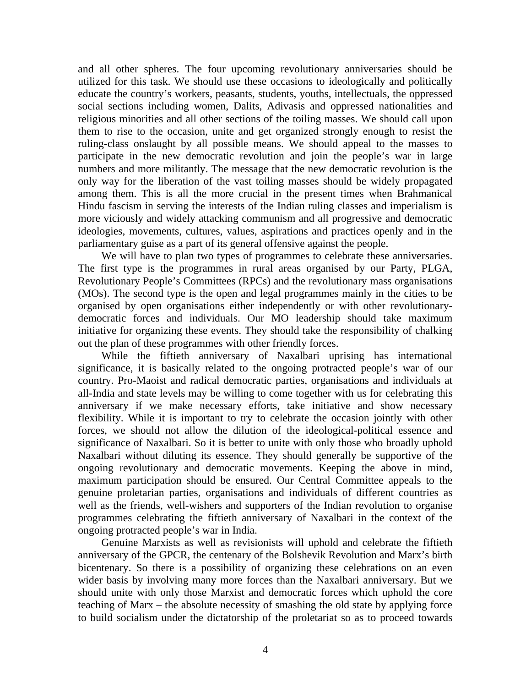and all other spheres. The four upcoming revolutionary anniversaries should be utilized for this task. We should use these occasions to ideologically and politically educate the country's workers, peasants, students, youths, intellectuals, the oppressed social sections including women, Dalits, Adivasis and oppressed nationalities and religious minorities and all other sections of the toiling masses. We should call upon them to rise to the occasion, unite and get organized strongly enough to resist the ruling-class onslaught by all possible means. We should appeal to the masses to participate in the new democratic revolution and join the people's war in large numbers and more militantly. The message that the new democratic revolution is the only way for the liberation of the vast toiling masses should be widely propagated among them. This is all the more crucial in the present times when Brahmanical Hindu fascism in serving the interests of the Indian ruling classes and imperialism is more viciously and widely attacking communism and all progressive and democratic ideologies, movements, cultures, values, aspirations and practices openly and in the parliamentary guise as a part of its general offensive against the people.

We will have to plan two types of programmes to celebrate these anniversaries. The first type is the programmes in rural areas organised by our Party, PLGA, Revolutionary People's Committees (RPCs) and the revolutionary mass organisations (MOs). The second type is the open and legal programmes mainly in the cities to be organised by open organisations either independently or with other revolutionarydemocratic forces and individuals. Our MO leadership should take maximum initiative for organizing these events. They should take the responsibility of chalking out the plan of these programmes with other friendly forces.

While the fiftieth anniversary of Naxalbari uprising has international significance, it is basically related to the ongoing protracted people's war of our country. Pro-Maoist and radical democratic parties, organisations and individuals at all-India and state levels may be willing to come together with us for celebrating this anniversary if we make necessary efforts, take initiative and show necessary flexibility. While it is important to try to celebrate the occasion jointly with other forces, we should not allow the dilution of the ideological-political essence and significance of Naxalbari. So it is better to unite with only those who broadly uphold Naxalbari without diluting its essence. They should generally be supportive of the ongoing revolutionary and democratic movements. Keeping the above in mind, maximum participation should be ensured. Our Central Committee appeals to the genuine proletarian parties, organisations and individuals of different countries as well as the friends, well-wishers and supporters of the Indian revolution to organise programmes celebrating the fiftieth anniversary of Naxalbari in the context of the ongoing protracted people's war in India.

Genuine Marxists as well as revisionists will uphold and celebrate the fiftieth anniversary of the GPCR, the centenary of the Bolshevik Revolution and Marx's birth bicentenary. So there is a possibility of organizing these celebrations on an even wider basis by involving many more forces than the Naxalbari anniversary. But we should unite with only those Marxist and democratic forces which uphold the core teaching of Marx – the absolute necessity of smashing the old state by applying force to build socialism under the dictatorship of the proletariat so as to proceed towards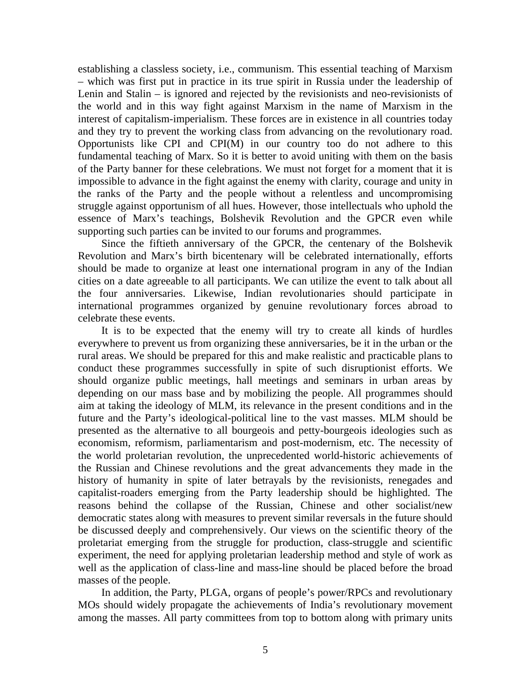establishing a classless society, i.e., communism. This essential teaching of Marxism – which was first put in practice in its true spirit in Russia under the leadership of Lenin and Stalin – is ignored and rejected by the revisionists and neo-revisionists of the world and in this way fight against Marxism in the name of Marxism in the interest of capitalism-imperialism. These forces are in existence in all countries today and they try to prevent the working class from advancing on the revolutionary road. Opportunists like CPI and CPI(M) in our country too do not adhere to this fundamental teaching of Marx. So it is better to avoid uniting with them on the basis of the Party banner for these celebrations. We must not forget for a moment that it is impossible to advance in the fight against the enemy with clarity, courage and unity in the ranks of the Party and the people without a relentless and uncompromising struggle against opportunism of all hues. However, those intellectuals who uphold the essence of Marx's teachings, Bolshevik Revolution and the GPCR even while supporting such parties can be invited to our forums and programmes.

Since the fiftieth anniversary of the GPCR, the centenary of the Bolshevik Revolution and Marx's birth bicentenary will be celebrated internationally, efforts should be made to organize at least one international program in any of the Indian cities on a date agreeable to all participants. We can utilize the event to talk about all the four anniversaries. Likewise, Indian revolutionaries should participate in international programmes organized by genuine revolutionary forces abroad to celebrate these events.

It is to be expected that the enemy will try to create all kinds of hurdles everywhere to prevent us from organizing these anniversaries, be it in the urban or the rural areas. We should be prepared for this and make realistic and practicable plans to conduct these programmes successfully in spite of such disruptionist efforts. We should organize public meetings, hall meetings and seminars in urban areas by depending on our mass base and by mobilizing the people. All programmes should aim at taking the ideology of MLM, its relevance in the present conditions and in the future and the Party's ideological-political line to the vast masses. MLM should be presented as the alternative to all bourgeois and petty-bourgeois ideologies such as economism, reformism, parliamentarism and post-modernism, etc. The necessity of the world proletarian revolution, the unprecedented world-historic achievements of the Russian and Chinese revolutions and the great advancements they made in the history of humanity in spite of later betrayals by the revisionists, renegades and capitalist-roaders emerging from the Party leadership should be highlighted. The reasons behind the collapse of the Russian, Chinese and other socialist/new democratic states along with measures to prevent similar reversals in the future should be discussed deeply and comprehensively. Our views on the scientific theory of the proletariat emerging from the struggle for production, class-struggle and scientific experiment, the need for applying proletarian leadership method and style of work as well as the application of class-line and mass-line should be placed before the broad masses of the people.

In addition, the Party, PLGA, organs of people's power/RPCs and revolutionary MOs should widely propagate the achievements of India's revolutionary movement among the masses. All party committees from top to bottom along with primary units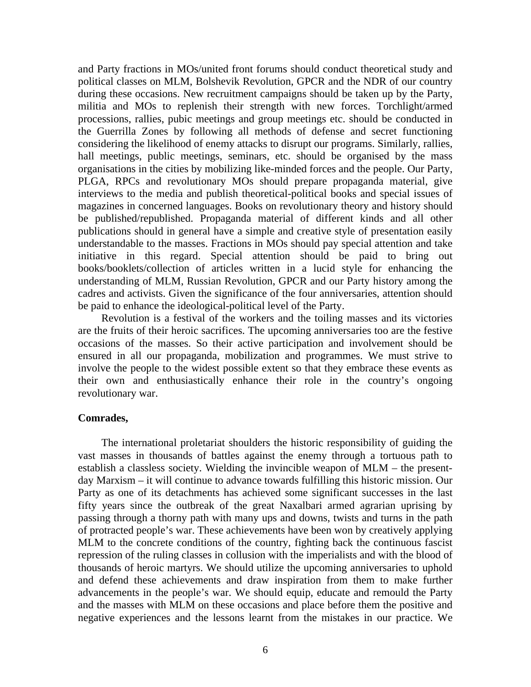and Party fractions in MOs/united front forums should conduct theoretical study and political classes on MLM, Bolshevik Revolution, GPCR and the NDR of our country during these occasions. New recruitment campaigns should be taken up by the Party, militia and MOs to replenish their strength with new forces. Torchlight/armed processions, rallies, pubic meetings and group meetings etc. should be conducted in the Guerrilla Zones by following all methods of defense and secret functioning considering the likelihood of enemy attacks to disrupt our programs. Similarly, rallies, hall meetings, public meetings, seminars, etc. should be organised by the mass organisations in the cities by mobilizing like-minded forces and the people. Our Party, PLGA, RPCs and revolutionary MOs should prepare propaganda material, give interviews to the media and publish theoretical-political books and special issues of magazines in concerned languages. Books on revolutionary theory and history should be published/republished. Propaganda material of different kinds and all other publications should in general have a simple and creative style of presentation easily understandable to the masses. Fractions in MOs should pay special attention and take initiative in this regard. Special attention should be paid to bring out books/booklets/collection of articles written in a lucid style for enhancing the understanding of MLM, Russian Revolution, GPCR and our Party history among the cadres and activists. Given the significance of the four anniversaries, attention should be paid to enhance the ideological-political level of the Party.

Revolution is a festival of the workers and the toiling masses and its victories are the fruits of their heroic sacrifices. The upcoming anniversaries too are the festive occasions of the masses. So their active participation and involvement should be ensured in all our propaganda, mobilization and programmes. We must strive to involve the people to the widest possible extent so that they embrace these events as their own and enthusiastically enhance their role in the country's ongoing revolutionary war.

## **Comrades,**

The international proletariat shoulders the historic responsibility of guiding the vast masses in thousands of battles against the enemy through a tortuous path to establish a classless society. Wielding the invincible weapon of MLM – the presentday Marxism – it will continue to advance towards fulfilling this historic mission. Our Party as one of its detachments has achieved some significant successes in the last fifty years since the outbreak of the great Naxalbari armed agrarian uprising by passing through a thorny path with many ups and downs, twists and turns in the path of protracted people's war. These achievements have been won by creatively applying MLM to the concrete conditions of the country, fighting back the continuous fascist repression of the ruling classes in collusion with the imperialists and with the blood of thousands of heroic martyrs. We should utilize the upcoming anniversaries to uphold and defend these achievements and draw inspiration from them to make further advancements in the people's war. We should equip, educate and remould the Party and the masses with MLM on these occasions and place before them the positive and negative experiences and the lessons learnt from the mistakes in our practice. We